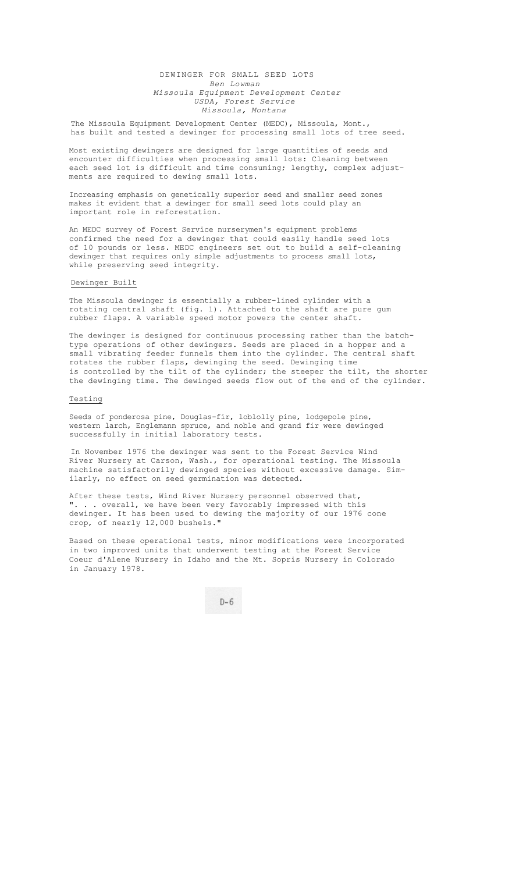## DEWINGER FOR SMALL SEED LOTS *Ben Lowman Missoula Equipment Development Center USDA, Forest Service Missoula, Montana*

## The Missoula Equipment Development Center (MEDC), Missoula, Mont., has built and tested a dewinger for processing small lots of tree seed.

Most existing dewingers are designed for large quantities of seeds and encounter difficulties when processing small lots: Cleaning between each seed lot is difficult and time consuming; lengthy, complex adjustments are required to dewing small lots.

Increasing emphasis on genetically superior seed and smaller seed zones makes it evident that a dewinger for small seed lots could play an important role in reforestation.

An MEDC survey of Forest Service nurserymen's equipment problems confirmed the need for a dewinger that could easily handle seed lots of 10 pounds or less. MEDC engineers set out to build a self-cleaning dewinger that requires only simple adjustments to process small lots, while preserving seed integrity.

## Dewinger Built

The Missoula dewinger is essentially a rubber-lined cylinder with a rotating central shaft (fig. 1). Attached to the shaft are pure gum rubber flaps. A variable speed motor powers the center shaft.

The dewinger is designed for continuous processing rather than the batchtype operations of other dewingers. Seeds are placed in a hopper and a small vibrating feeder funnels them into the cylinder. The central shaft rotates the rubber flaps, dewinging the seed. Dewinging time is controlled by the tilt of the cylinder; the steeper the tilt, the shorter the dewinging time. The dewinged seeds flow out of the end of the cylinder.

## Testing

Seeds of ponderosa pine, Douglas-fir, loblolly pine, lodgepole pine, western larch, Englemann spruce, and noble and grand fir were dewinged successfully in initial laboratory tests.

In November 1976 the dewinger was sent to the Forest Service Wind River Nursery at Carson, Wash., for operational testing. The Missoula machine satisfactorily dewinged species without excessive damage. Similarly, no effect on seed germination was detected.

After these tests, Wind River Nursery personnel observed that, ". . . overall, we have been very favorably impressed with this dewinger. It has been used to dewing the majority of our 1976 cone crop, of nearly 12,000 bushels."

Based on these operational tests, minor modifications were incorporated in two improved units that underwent testing at the Forest Service Coeur d'Alene Nursery in Idaho and the Mt. Sopris Nursery in Colorado in January 1978.

 $D-6$